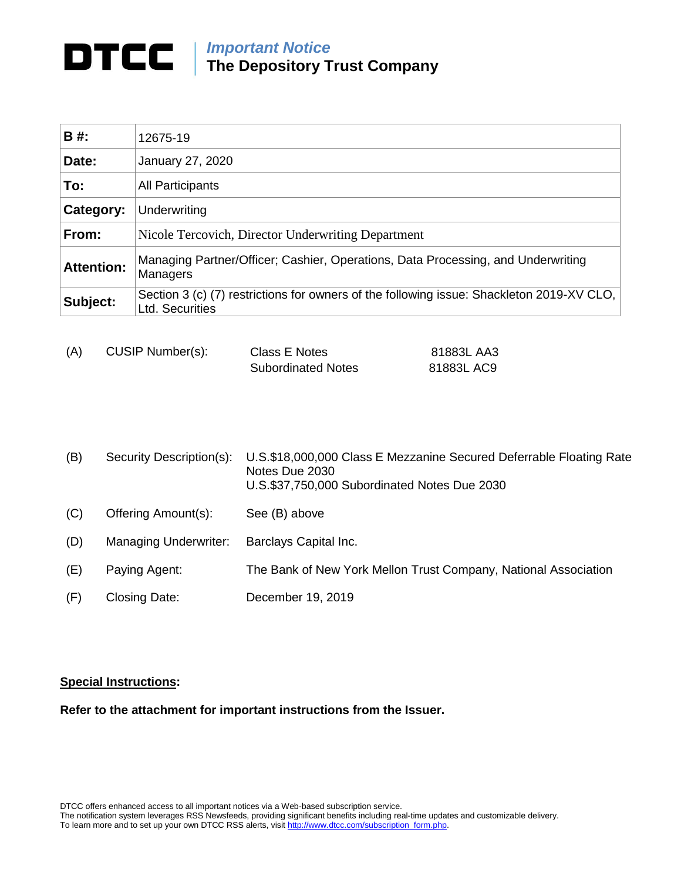## *Important Notice*

**The Depository Trust Company**

| <b>B#:</b>        | 12675-19                                                                                                     |  |
|-------------------|--------------------------------------------------------------------------------------------------------------|--|
| Date:             | January 27, 2020                                                                                             |  |
| To:               | <b>All Participants</b>                                                                                      |  |
| Category:         | Underwriting                                                                                                 |  |
| From:             | Nicole Tercovich, Director Underwriting Department                                                           |  |
| <b>Attention:</b> | Managing Partner/Officer; Cashier, Operations, Data Processing, and Underwriting<br>Managers                 |  |
| Subject:          | Section 3 (c) (7) restrictions for owners of the following issue: Shackleton 2019-XV CLO,<br>Ltd. Securities |  |

| (A) | CUSIP Number(s): | Class E Notes             | 81883L AA3 |
|-----|------------------|---------------------------|------------|
|     |                  | <b>Subordinated Notes</b> | 81883L AC9 |

| (B) | Security Description(s): | U.S.\$18,000,000 Class E Mezzanine Secured Deferrable Floating Rate<br>Notes Due 2030<br>U.S.\$37,750,000 Subordinated Notes Due 2030 |
|-----|--------------------------|---------------------------------------------------------------------------------------------------------------------------------------|
| (C) | Offering Amount(s):      | See (B) above                                                                                                                         |
| (D) | Managing Underwriter:    | Barclays Capital Inc.                                                                                                                 |
| (E) | Paying Agent:            | The Bank of New York Mellon Trust Company, National Association                                                                       |
| (F) | Closing Date:            | December 19, 2019                                                                                                                     |

## **Special Instructions:**

**Refer to the attachment for important instructions from the Issuer.**

DTCC offers enhanced access to all important notices via a Web-based subscription service.

The notification system leverages RSS Newsfeeds, providing significant benefits including real-time updates and customizable delivery.

To learn more and to set up your own DTCC RSS alerts, visi[t http://www.dtcc.com/subscription\\_form.php.](http://www.dtcc.com/subscription_form.php)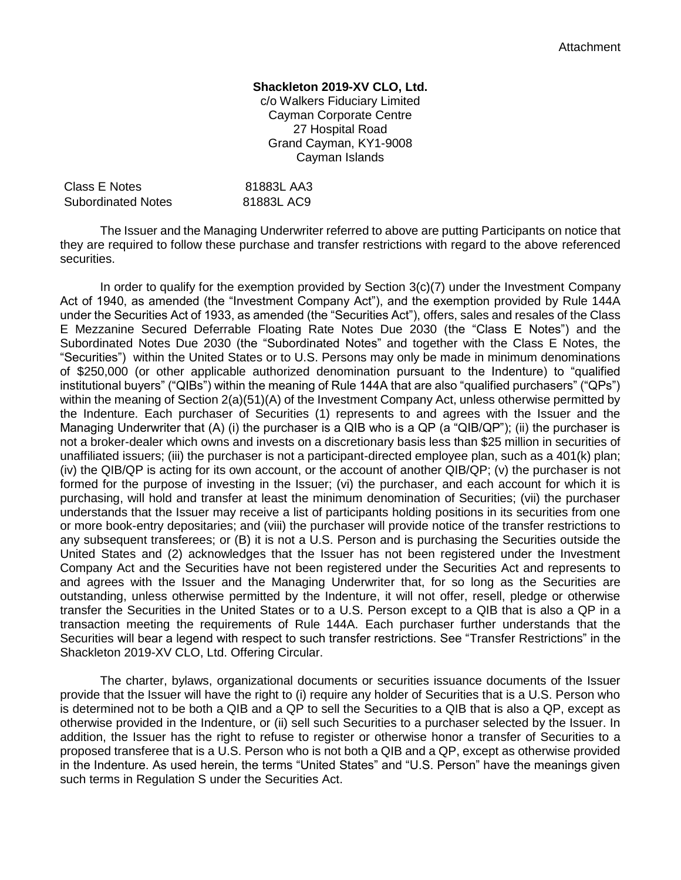## **Shackleton 2019-XV CLO, Ltd.**

c/o Walkers Fiduciary Limited Cayman Corporate Centre 27 Hospital Road Grand Cayman, KY1-9008 Cayman Islands

| Class E Notes             | 81883L AA3 |
|---------------------------|------------|
| <b>Subordinated Notes</b> | 81883L AC9 |

The Issuer and the Managing Underwriter referred to above are putting Participants on notice that they are required to follow these purchase and transfer restrictions with regard to the above referenced securities.

In order to qualify for the exemption provided by Section 3(c)(7) under the Investment Company Act of 1940, as amended (the "Investment Company Act"), and the exemption provided by Rule 144A under the Securities Act of 1933, as amended (the "Securities Act"), offers, sales and resales of the Class E Mezzanine Secured Deferrable Floating Rate Notes Due 2030 (the "Class E Notes") and the Subordinated Notes Due 2030 (the "Subordinated Notes" and together with the Class E Notes, the "Securities") within the United States or to U.S. Persons may only be made in minimum denominations of \$250,000 (or other applicable authorized denomination pursuant to the Indenture) to "qualified institutional buyers" ("QIBs") within the meaning of Rule 144A that are also "qualified purchasers" ("QPs") within the meaning of Section 2(a)(51)(A) of the Investment Company Act, unless otherwise permitted by the Indenture. Each purchaser of Securities (1) represents to and agrees with the Issuer and the Managing Underwriter that (A) (i) the purchaser is a QIB who is a QP (a "QIB/QP"); (ii) the purchaser is not a broker-dealer which owns and invests on a discretionary basis less than \$25 million in securities of unaffiliated issuers; (iii) the purchaser is not a participant-directed employee plan, such as a 401(k) plan; (iv) the QIB/QP is acting for its own account, or the account of another QIB/QP; (v) the purchaser is not formed for the purpose of investing in the Issuer; (vi) the purchaser, and each account for which it is purchasing, will hold and transfer at least the minimum denomination of Securities; (vii) the purchaser understands that the Issuer may receive a list of participants holding positions in its securities from one or more book-entry depositaries; and (viii) the purchaser will provide notice of the transfer restrictions to any subsequent transferees; or (B) it is not a U.S. Person and is purchasing the Securities outside the United States and (2) acknowledges that the Issuer has not been registered under the Investment Company Act and the Securities have not been registered under the Securities Act and represents to and agrees with the Issuer and the Managing Underwriter that, for so long as the Securities are outstanding, unless otherwise permitted by the Indenture, it will not offer, resell, pledge or otherwise transfer the Securities in the United States or to a U.S. Person except to a QIB that is also a QP in a transaction meeting the requirements of Rule 144A. Each purchaser further understands that the Securities will bear a legend with respect to such transfer restrictions. See "Transfer Restrictions" in the Shackleton 2019-XV CLO, Ltd. Offering Circular.

The charter, bylaws, organizational documents or securities issuance documents of the Issuer provide that the Issuer will have the right to (i) require any holder of Securities that is a U.S. Person who is determined not to be both a QIB and a QP to sell the Securities to a QIB that is also a QP, except as otherwise provided in the Indenture, or (ii) sell such Securities to a purchaser selected by the Issuer. In addition, the Issuer has the right to refuse to register or otherwise honor a transfer of Securities to a proposed transferee that is a U.S. Person who is not both a QIB and a QP, except as otherwise provided in the Indenture. As used herein, the terms "United States" and "U.S. Person" have the meanings given such terms in Regulation S under the Securities Act.